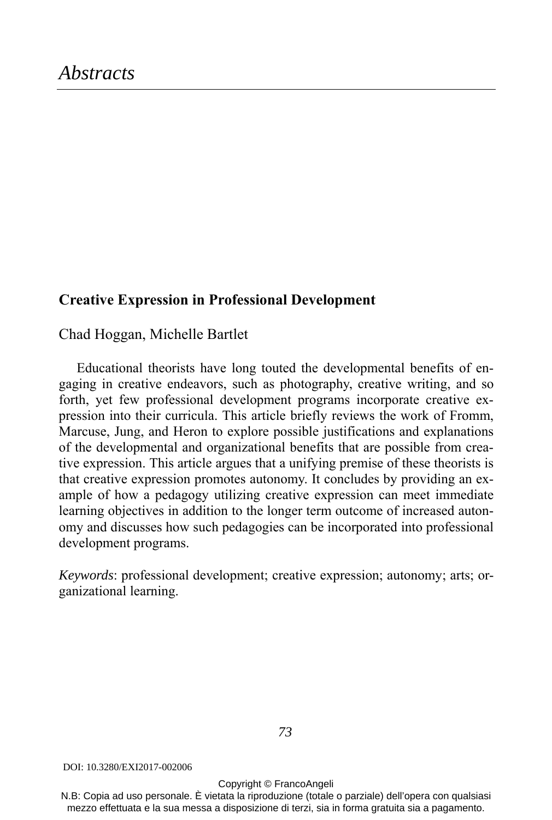#### **Creative Expression in Professional Development**

#### Chad Hoggan, Michelle Bartlet

Educational theorists have long touted the developmental benefits of engaging in creative endeavors, such as photography, creative writing, and so forth, yet few professional development programs incorporate creative expression into their curricula. This article briefly reviews the work of Fromm, Marcuse, Jung, and Heron to explore possible justifications and explanations of the developmental and organizational benefits that are possible from creative expression. This article argues that a unifying premise of these theorists is that creative expression promotes autonomy. It concludes by providing an example of how a pedagogy utilizing creative expression can meet immediate learning objectives in addition to the longer term outcome of increased autonomy and discusses how such pedagogies can be incorporated into professional development programs.

*Keywords*: professional development; creative expression; autonomy; arts; organizational learning.

N.B: Copia ad uso personale. È vietata la riproduzione (totale o parziale) dell'opera con qualsiasi mezzo effettuata e la sua messa a disposizione di terzi, sia in forma gratuita sia a pagamento.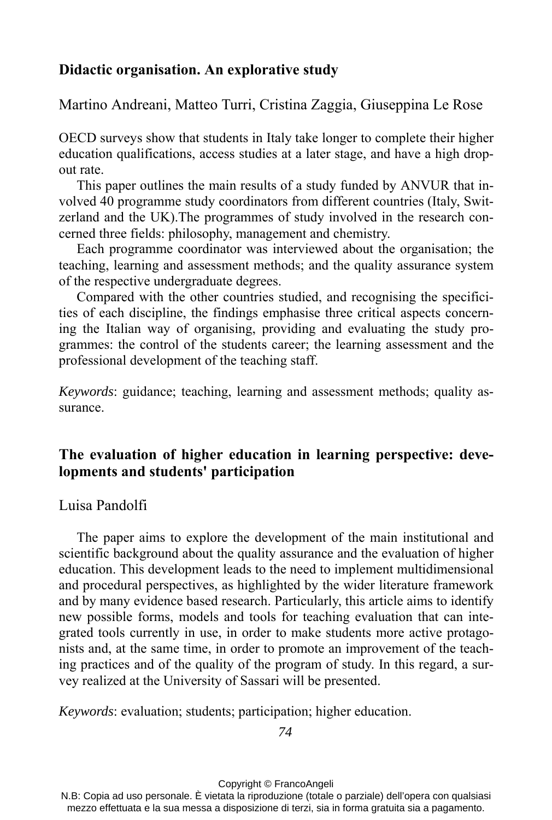### **Didactic organisation. An explorative study**

Martino Andreani, Matteo Turri, Cristina Zaggia, Giuseppina Le Rose

OECD surveys show that students in Italy take longer to complete their higher education qualifications, access studies at a later stage, and have a high dropout rate.

This paper outlines the main results of a study funded by ANVUR that involved 40 programme study coordinators from different countries (Italy, Switzerland and the UK).The programmes of study involved in the research concerned three fields: philosophy, management and chemistry.

Each programme coordinator was interviewed about the organisation; the teaching, learning and assessment methods; and the quality assurance system of the respective undergraduate degrees.

Compared with the other countries studied, and recognising the specificities of each discipline, the findings emphasise three critical aspects concerning the Italian way of organising, providing and evaluating the study programmes: the control of the students career; the learning assessment and the professional development of the teaching staff.

*Keywords*: guidance; teaching, learning and assessment methods; quality assurance.

# **The evaluation of higher education in learning perspective: developments and students' participation**

### Luisa Pandolfi

The paper aims to explore the development of the main institutional and scientific background about the quality assurance and the evaluation of higher education. This development leads to the need to implement multidimensional and procedural perspectives, as highlighted by the wider literature framework and by many evidence based research. Particularly, this article aims to identify new possible forms, models and tools for teaching evaluation that can integrated tools currently in use, in order to make students more active protagonists and, at the same time, in order to promote an improvement of the teaching practices and of the quality of the program of study. In this regard, a survey realized at the University of Sassari will be presented.

*Keywords*: evaluation; students; participation; higher education.

*74* 

Copyright © FrancoAngeli

N.B: Copia ad uso personale. È vietata la riproduzione (totale o parziale) dell'opera con qualsiasi mezzo effettuata e la sua messa a disposizione di terzi, sia in forma gratuita sia a pagamento.